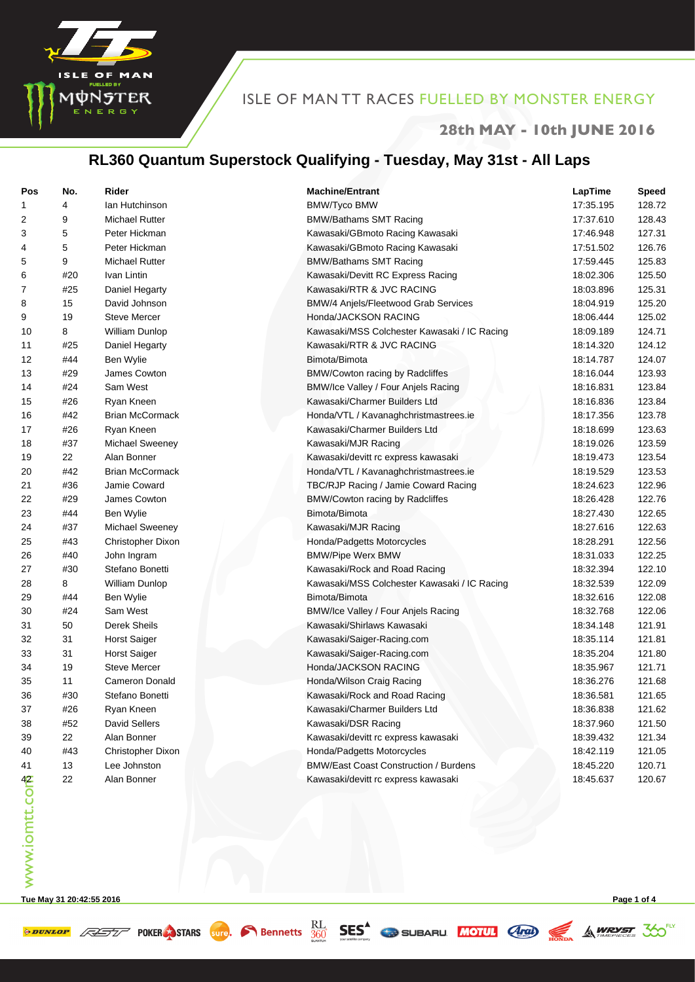

#### **28th MAY - 10th JUNE 2016**

# **RL360 Quantum Superstock Qualifying - Tuesday, May 31st - All Laps**

| Pos           | No. | Rider                  | <b>Machine/Entrant</b>                       | LapTime   | <b>Speed</b> |
|---------------|-----|------------------------|----------------------------------------------|-----------|--------------|
| 1             | 4   | lan Hutchinson         | <b>BMW/Tyco BMW</b>                          | 17:35.195 | 128.72       |
| 2             | 9   | <b>Michael Rutter</b>  | <b>BMW/Bathams SMT Racing</b>                | 17:37.610 | 128.43       |
| 3             | 5   | Peter Hickman          | Kawasaki/GBmoto Racing Kawasaki              | 17:46.948 | 127.31       |
| 4             | 5   | Peter Hickman          | Kawasaki/GBmoto Racing Kawasaki              | 17:51.502 | 126.76       |
| 5             | 9   | <b>Michael Rutter</b>  | <b>BMW/Bathams SMT Racing</b>                | 17:59.445 | 125.83       |
| 6             | #20 | Ivan Lintin            | Kawasaki/Devitt RC Express Racing            | 18:02.306 | 125.50       |
| 7             | #25 | Daniel Hegarty         | Kawasaki/RTR & JVC RACING                    | 18:03.896 | 125.31       |
| 8             | 15  | David Johnson          | BMW/4 Anjels/Fleetwood Grab Services         | 18:04.919 | 125.20       |
| 9             | 19  | <b>Steve Mercer</b>    | Honda/JACKSON RACING                         | 18:06.444 | 125.02       |
| 10            | 8   | William Dunlop         | Kawasaki/MSS Colchester Kawasaki / IC Racing | 18:09.189 | 124.71       |
| 11            | #25 | Daniel Hegarty         | Kawasaki/RTR & JVC RACING                    | 18:14.320 | 124.12       |
| 12            | #44 | Ben Wylie              | Bimota/Bimota                                | 18:14.787 | 124.07       |
| 13            | #29 | James Cowton           | BMW/Cowton racing by Radcliffes              | 18:16.044 | 123.93       |
| 14            | #24 | Sam West               | BMW/Ice Valley / Four Anjels Racing          | 18:16.831 | 123.84       |
| 15            | #26 | Ryan Kneen             | Kawasaki/Charmer Builders Ltd                | 18:16.836 | 123.84       |
| 16            | #42 | <b>Brian McCormack</b> | Honda/VTL / Kavanaghchristmastrees.ie        | 18:17.356 | 123.78       |
| 17            | #26 | Ryan Kneen             | Kawasaki/Charmer Builders Ltd                | 18:18.699 | 123.63       |
| 18            | #37 | Michael Sweeney        | Kawasaki/MJR Racing                          | 18:19.026 | 123.59       |
| 19            | 22  | Alan Bonner            | Kawasaki/devitt rc express kawasaki          | 18:19.473 | 123.54       |
| 20            | #42 | <b>Brian McCormack</b> | Honda/VTL / Kavanaghchristmastrees.ie        | 18:19.529 | 123.53       |
| 21            | #36 | Jamie Coward           | TBC/RJP Racing / Jamie Coward Racing         | 18:24.623 | 122.96       |
| 22            | #29 | James Cowton           | BMW/Cowton racing by Radcliffes              | 18:26.428 | 122.76       |
| 23            | #44 | Ben Wylie              | Bimota/Bimota                                | 18:27.430 | 122.65       |
| 24            | #37 | <b>Michael Sweeney</b> | Kawasaki/MJR Racing                          | 18:27.616 | 122.63       |
| 25            | #43 | Christopher Dixon      | Honda/Padgetts Motorcycles                   | 18:28.291 | 122.56       |
| 26            | #40 | John Ingram            | <b>BMW/Pipe Werx BMW</b>                     | 18:31.033 | 122.25       |
| 27            | #30 | Stefano Bonetti        | Kawasaki/Rock and Road Racing                | 18:32.394 | 122.10       |
| 28            | 8   | William Dunlop         | Kawasaki/MSS Colchester Kawasaki / IC Racing | 18:32.539 | 122.09       |
| 29            | #44 | Ben Wylie              | Bimota/Bimota                                | 18:32.616 | 122.08       |
| 30            | #24 | Sam West               | BMW/Ice Valley / Four Anjels Racing          | 18:32.768 | 122.06       |
| 31            | 50  | Derek Sheils           | Kawasaki/Shirlaws Kawasaki                   | 18:34.148 | 121.91       |
| 32            | 31  | <b>Horst Saiger</b>    | Kawasaki/Saiger-Racing.com                   | 18:35.114 | 121.81       |
| 33            | 31  | <b>Horst Saiger</b>    | Kawasaki/Saiger-Racing.com                   | 18:35.204 | 121.80       |
| 34            | 19  | <b>Steve Mercer</b>    | Honda/JACKSON RACING                         | 18:35.967 | 121.71       |
| 35            | 11  | <b>Cameron Donald</b>  | Honda/Wilson Craig Racing                    | 18:36.276 | 121.68       |
| 36            | #30 | Stefano Bonetti        | Kawasaki/Rock and Road Racing                | 18:36.581 | 121.65       |
| 37            | #26 | Ryan Kneen             | Kawasaki/Charmer Builders Ltd                | 18:36.838 | 121.62       |
| 38            | #52 | <b>David Sellers</b>   | Kawasaki/DSR Racing                          | 18:37.960 | 121.50       |
| 39            | 22  | Alan Bonner            | Kawasaki/devitt rc express kawasaki          | 18:39.432 | 121.34       |
| 40            | #43 | Christopher Dixon      | Honda/Padgetts Motorcycles                   | 18:42.119 | 121.05       |
| 41            | 13  | Lee Johnston           | <b>BMW/East Coast Construction / Burdens</b> | 18:45.220 | 120.71       |
| www.iomtt.com | 22  | Alan Bonner            | Kawasaki/devitt rc express kawasaki          | 18:45.637 | 120.67       |
|               |     |                        |                                              |           |              |

**Tue May 31 20:42:55 2016 Page 1 of 4**

**SPUNLOP ASSESS** POKER STARS **SUPP**. **C** Bennetts **SES** SES SUBARU MOTUL **ARD** SA WRYST 30<sup>EXT</sup>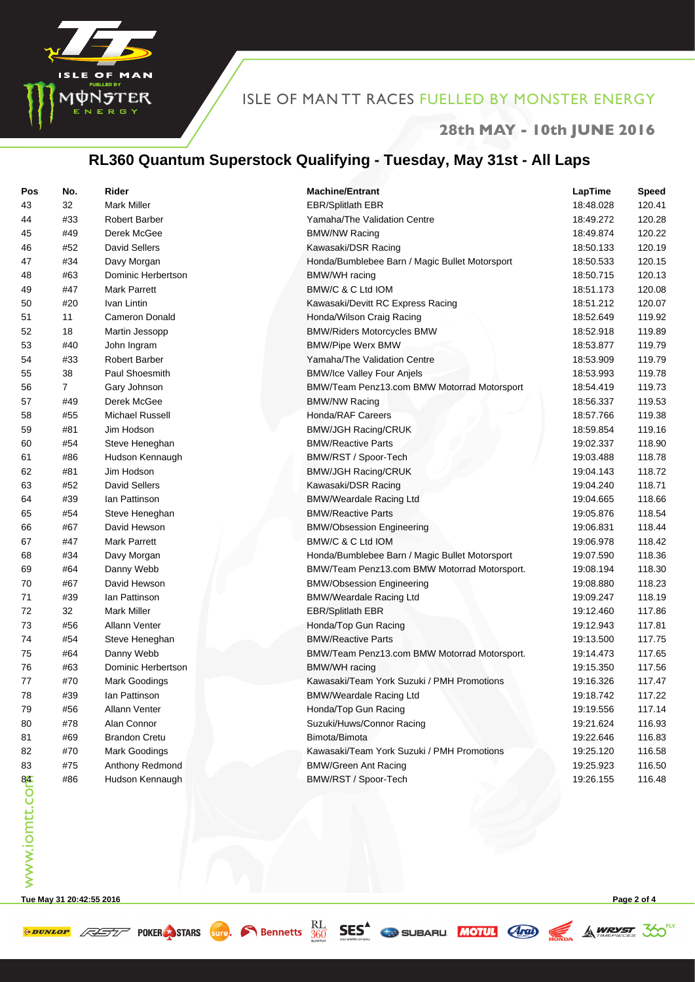

#### **28th MAY - 10th JUNE 2016**

# **RL360 Quantum Superstock Qualifying - Tuesday, May 31st - All Laps**

| Pos           | No.            | Rider                              | <b>Machine/Entrant</b>                         | LapTime   | <b>Speed</b>     |
|---------------|----------------|------------------------------------|------------------------------------------------|-----------|------------------|
| 43            | 32             | <b>Mark Miller</b>                 | <b>EBR/Splitlath EBR</b>                       | 18:48.028 | 120.41           |
| 44            | #33            | Robert Barber                      | Yamaha/The Validation Centre                   | 18:49.272 | 120.28           |
| 45            | #49            | Derek McGee                        | <b>BMW/NW Racing</b>                           | 18:49.874 | 120.22           |
| 46            | #52            | David Sellers                      | Kawasaki/DSR Racing                            | 18:50.133 | 120.19           |
| 47            | #34            | Davy Morgan                        | Honda/Bumblebee Barn / Magic Bullet Motorsport | 18:50.533 | 120.15           |
| 48            | #63            | Dominic Herbertson                 | BMW/WH racing                                  | 18:50.715 | 120.13           |
| 49            | #47            | Mark Parrett                       | BMW/C & C Ltd IOM                              | 18:51.173 | 120.08           |
| 50            | #20            | Ivan Lintin                        | Kawasaki/Devitt RC Express Racing              | 18:51.212 | 120.07           |
| 51            | 11             | <b>Cameron Donald</b>              | Honda/Wilson Craig Racing                      | 18:52.649 | 119.92           |
| 52            | 18             | Martin Jessopp                     | <b>BMW/Riders Motorcycles BMW</b>              | 18:52.918 | 119.89           |
| 53            | #40            | John Ingram                        | <b>BMW/Pipe Werx BMW</b>                       | 18:53.877 | 119.79           |
| 54            | #33            | Robert Barber                      | Yamaha/The Validation Centre                   | 18:53.909 | 119.79           |
| 55            | 38             | Paul Shoesmith                     | <b>BMW/Ice Valley Four Anjels</b>              | 18:53.993 | 119.78           |
| 56            | $\overline{7}$ | Gary Johnson                       | BMW/Team Penz13.com BMW Motorrad Motorsport    | 18:54.419 | 119.73           |
| 57            | #49            | Derek McGee                        | <b>BMW/NW Racing</b>                           | 18:56.337 | 119.53           |
| 58            | #55            | Michael Russell                    | Honda/RAF Careers                              | 18:57.766 | 119.38           |
| 59            | #81            | Jim Hodson                         | <b>BMW/JGH Racing/CRUK</b>                     | 18:59.854 | 119.16           |
| 60            | #54            | Steve Heneghan                     | <b>BMW/Reactive Parts</b>                      | 19:02.337 | 118.90           |
| 61            | #86            | Hudson Kennaugh                    | BMW/RST / Spoor-Tech                           | 19:03.488 | 118.78           |
| 62            | #81            | Jim Hodson                         | <b>BMW/JGH Racing/CRUK</b>                     | 19:04.143 | 118.72           |
| 63            | #52            | David Sellers                      | Kawasaki/DSR Racing                            | 19:04.240 | 118.71           |
| 64            | #39            | lan Pattinson                      | <b>BMW/Weardale Racing Ltd</b>                 | 19:04.665 | 118.66           |
| 65            | #54            | Steve Heneghan                     | <b>BMW/Reactive Parts</b>                      | 19:05.876 | 118.54           |
| 66            | #67            | David Hewson                       | <b>BMW/Obsession Engineering</b>               | 19:06.831 | 118.44           |
| 67            | #47            | Mark Parrett                       | BMW/C & C Ltd IOM                              | 19:06.978 | 118.42           |
| 68            | #34            | Davy Morgan                        | Honda/Bumblebee Barn / Magic Bullet Motorsport | 19:07.590 | 118.36           |
| 69            | #64            | Danny Webb                         | BMW/Team Penz13.com BMW Motorrad Motorsport.   | 19:08.194 | 118.30           |
| 70            | #67            | David Hewson                       | <b>BMW/Obsession Engineering</b>               | 19:08.880 | 118.23           |
| 71            | #39            | lan Pattinson                      | <b>BMW/Weardale Racing Ltd</b>                 | 19:09.247 | 118.19           |
| 72            | 32             | <b>Mark Miller</b>                 | <b>EBR/Splitlath EBR</b>                       | 19:12.460 | 117.86           |
| 73            | #56            | <b>Allann Venter</b>               | Honda/Top Gun Racing                           | 19:12.943 | 117.81           |
| 74            | #54            | Steve Heneghan                     | <b>BMW/Reactive Parts</b>                      | 19:13.500 | 117.75           |
| 75            | #64            | Danny Webb                         | BMW/Team Penz13.com BMW Motorrad Motorsport.   | 19:14.473 | 117.65           |
| 76            | #63            | Dominic Herbertson                 | <b>BMW/WH</b> racing                           | 19:15.350 | 117.56           |
| 77            | #70            | Mark Goodings                      | Kawasaki/Team York Suzuki / PMH Promotions     | 19:16.326 | 117.47           |
| 78            | #39            | lan Pattinson                      | <b>BMW/Weardale Racing Ltd</b>                 | 19:18.742 | 117.22           |
| 79            | #56            | Allann Venter                      | Honda/Top Gun Racing                           | 19:19.556 | 117.14           |
| 80            | #78            | Alan Connor                        | Suzuki/Huws/Connor Racing                      | 19:21.624 | 116.93           |
| 81            | #69            | <b>Brandon Cretu</b>               | Bimota/Bimota                                  | 19:22.646 | 116.83           |
|               | #70            |                                    | Kawasaki/Team York Suzuki / PMH Promotions     | 19:25.120 |                  |
| 82            | #75            | Mark Goodings                      | <b>BMW/Green Ant Racing</b>                    | 19:25.923 | 116.58           |
| 83            |                | Anthony Redmond<br>Hudson Kennaugh |                                                |           | 116.50<br>116.48 |
| www.iomtt.com | #86            |                                    | BMW/RST / Spoor-Tech                           | 19:26.155 |                  |
|               |                |                                    |                                                |           |                  |

**Tue May 31 20:42:55 2016 Page 2 of 4**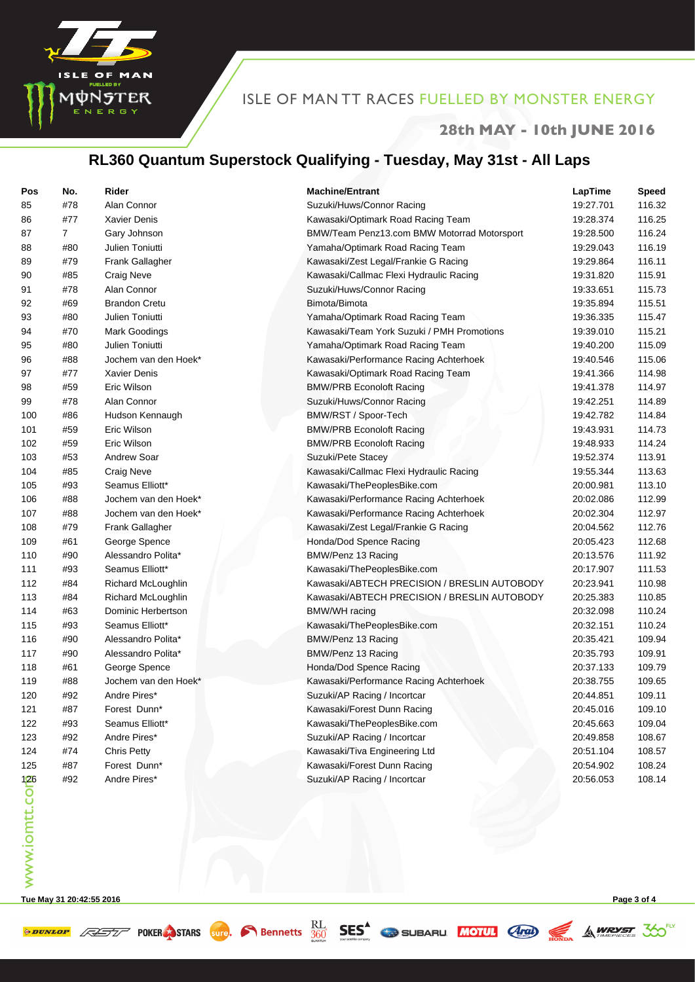

#### **28th MAY - 10th JUNE 2016**

# **RL360 Quantum Superstock Qualifying - Tuesday, May 31st - All Laps**

| Pos                        | No. | Rider                  | <b>Machine/Entrant</b>                       | LapTime   | <b>Speed</b> |
|----------------------------|-----|------------------------|----------------------------------------------|-----------|--------------|
| 85                         | #78 | Alan Connor            | Suzuki/Huws/Connor Racing                    | 19:27.701 | 116.32       |
| 86                         | #77 | <b>Xavier Denis</b>    | Kawasaki/Optimark Road Racing Team           | 19:28.374 | 116.25       |
| 87                         | 7   | Gary Johnson           | BMW/Team Penz13.com BMW Motorrad Motorsport  | 19:28.500 | 116.24       |
| 88                         | #80 | Julien Toniutti        | Yamaha/Optimark Road Racing Team             | 19:29.043 | 116.19       |
| 89                         | #79 | <b>Frank Gallagher</b> | Kawasaki/Zest Legal/Frankie G Racing         | 19:29.864 | 116.11       |
| 90                         | #85 | <b>Craig Neve</b>      | Kawasaki/Callmac Flexi Hydraulic Racing      | 19:31.820 | 115.91       |
| 91                         | #78 | Alan Connor            | Suzuki/Huws/Connor Racing                    | 19:33.651 | 115.73       |
| 92                         | #69 | <b>Brandon Cretu</b>   | Bimota/Bimota                                | 19:35.894 | 115.51       |
| 93                         | #80 | Julien Toniutti        | Yamaha/Optimark Road Racing Team             | 19:36.335 | 115.47       |
| 94                         | #70 | <b>Mark Goodings</b>   | Kawasaki/Team York Suzuki / PMH Promotions   | 19:39.010 | 115.21       |
| 95                         | #80 | Julien Toniutti        | Yamaha/Optimark Road Racing Team             | 19:40.200 | 115.09       |
| 96                         | #88 | Jochem van den Hoek*   | Kawasaki/Performance Racing Achterhoek       | 19:40.546 | 115.06       |
| 97                         | #77 | Xavier Denis           | Kawasaki/Optimark Road Racing Team           | 19:41.366 | 114.98       |
| 98                         | #59 | Eric Wilson            | <b>BMW/PRB Econoloft Racing</b>              | 19:41.378 | 114.97       |
| 99                         | #78 | Alan Connor            | Suzuki/Huws/Connor Racing                    | 19:42.251 | 114.89       |
| 100                        | #86 | Hudson Kennaugh        | BMW/RST / Spoor-Tech                         | 19:42.782 | 114.84       |
| 101                        | #59 | Eric Wilson            | <b>BMW/PRB Econoloft Racing</b>              | 19:43.931 | 114.73       |
| 102                        | #59 | Eric Wilson            | <b>BMW/PRB Econoloft Racing</b>              | 19:48.933 | 114.24       |
| 103                        | #53 | <b>Andrew Soar</b>     | Suzuki/Pete Stacey                           | 19:52.374 | 113.91       |
| 104                        | #85 | <b>Craig Neve</b>      | Kawasaki/Callmac Flexi Hydraulic Racing      | 19:55.344 | 113.63       |
| 105                        | #93 | Seamus Elliott*        | Kawasaki/ThePeoplesBike.com                  | 20:00.981 | 113.10       |
| 106                        | #88 | Jochem van den Hoek*   | Kawasaki/Performance Racing Achterhoek       | 20:02.086 | 112.99       |
| 107                        | #88 | Jochem van den Hoek*   | Kawasaki/Performance Racing Achterhoek       | 20:02.304 | 112.97       |
| 108                        | #79 | <b>Frank Gallagher</b> | Kawasaki/Zest Legal/Frankie G Racing         | 20:04.562 | 112.76       |
| 109                        | #61 | George Spence          | Honda/Dod Spence Racing                      | 20:05.423 | 112.68       |
| 110                        | #90 | Alessandro Polita*     | BMW/Penz 13 Racing                           | 20:13.576 | 111.92       |
| 111                        | #93 | Seamus Elliott*        | Kawasaki/ThePeoplesBike.com                  | 20:17.907 | 111.53       |
| 112                        | #84 | Richard McLoughlin     | Kawasaki/ABTECH PRECISION / BRESLIN AUTOBODY | 20:23.941 | 110.98       |
| 113                        | #84 | Richard McLoughlin     | Kawasaki/ABTECH PRECISION / BRESLIN AUTOBODY | 20:25.383 | 110.85       |
| 114                        | #63 | Dominic Herbertson     | <b>BMW/WH</b> racing                         | 20:32.098 | 110.24       |
| 115                        | #93 | Seamus Elliott*        | Kawasaki/ThePeoplesBike.com                  | 20:32.151 | 110.24       |
| 116                        | #90 | Alessandro Polita*     | BMW/Penz 13 Racing                           | 20:35.421 | 109.94       |
| 117                        | #90 | Alessandro Polita*     | BMW/Penz 13 Racing                           | 20:35.793 | 109.91       |
| 118                        | #61 | George Spence          | Honda/Dod Spence Racing                      | 20:37.133 | 109.79       |
| 119                        | #88 | Jochem van den Hoek*   | Kawasaki/Performance Racing Achterhoek       | 20:38.755 | 109.65       |
| 120                        | #92 | Andre Pires*           | Suzuki/AP Racing / Incortcar                 | 20:44.851 | 109.11       |
| 121                        | #87 | Forest Dunn*           | Kawasaki/Forest Dunn Racing                  | 20:45.016 | 109.10       |
| 122                        | #93 | Seamus Elliott*        | Kawasaki/ThePeoplesBike.com                  | 20:45.663 | 109.04       |
| 123                        | #92 | Andre Pires*           | Suzuki/AP Racing / Incortcar                 | 20:49.858 | 108.67       |
| 124                        | #74 | <b>Chris Petty</b>     | Kawasaki/Tiva Engineering Ltd                | 20:51.104 | 108.57       |
| 125                        | #87 | Forest Dunn*           | Kawasaki/Forest Dunn Racing                  | 20:54.902 | 108.24       |
| 126<br><b>MWW.iomtt.co</b> | #92 | Andre Pires*           | Suzuki/AP Racing / Incortcar                 | 20:56.053 | 108.14       |
|                            |     |                        |                                              |           |              |

**Tue May 31 20:42:55 2016 Page 3 of 4**

**SPUNLOP ASSESS** POKER STARS **SUPP**. **C** Bennetts **SES** SES SUBARU MOTUL **ARD** SA WRYST 30<sup>EXT</sup>